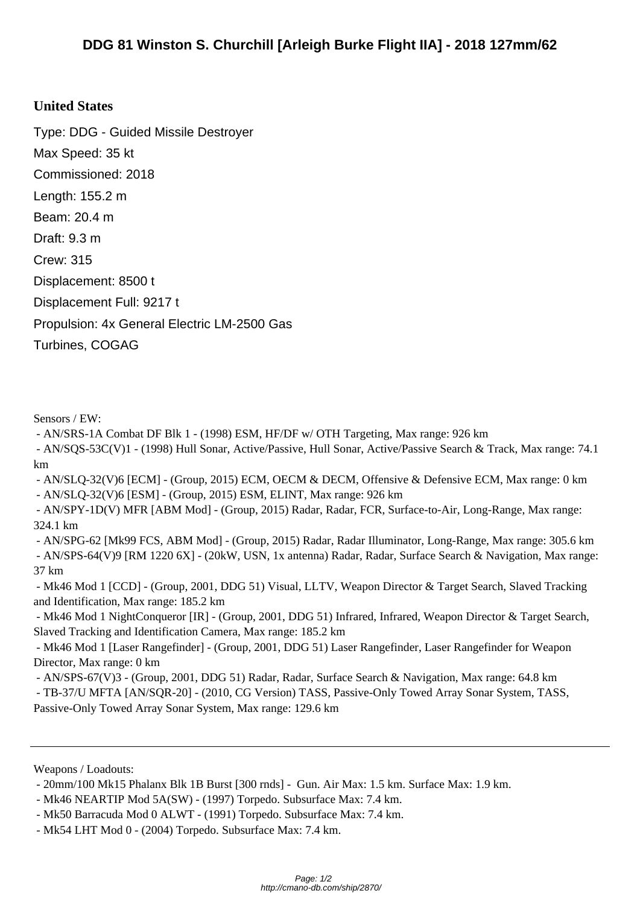## **United [States](http://cmano-db.com/ship/2870/)**

Type: DDG - Guided Missile Destroyer Max Speed: 35 kt Commissioned: 2018 Length: 155.2 m Beam: 20.4 m Draft: 9.3 m Crew: 315 Displacement: 8500 t Displacement Full: 9217 t Propulsion: 4x General Electric LM-2500 Gas Turbines, COGAG

Sensors / EW:

- AN/SRS-1A Combat DF Blk 1 - (1998) ESM, HF/DF w/ OTH Targeting, Max range: 926 km

 - AN/SQS-53C(V)1 - (1998) Hull Sonar, Active/Passive, Hull Sonar, Active/Passive Search & Track, Max range: 74.1 km

 - AN/SLQ-32(V)6 [ECM] - (Group, 2015) ECM, OECM & DECM, Offensive & Defensive ECM, Max range: 0 km - AN/SLQ-32(V)6 [ESM] - (Group, 2015) ESM, ELINT, Max range: 926 km

 - AN/SPY-1D(V) MFR [ABM Mod] - (Group, 2015) Radar, Radar, FCR, Surface-to-Air, Long-Range, Max range: 324.1 km

 - AN/SPG-62 [Mk99 FCS, ABM Mod] - (Group, 2015) Radar, Radar Illuminator, Long-Range, Max range: 305.6 km - AN/SPS-64(V)9 [RM 1220 6X] - (20kW, USN, 1x antenna) Radar, Radar, Surface Search & Navigation, Max range: 37 km

 - Mk46 Mod 1 [CCD] - (Group, 2001, DDG 51) Visual, LLTV, Weapon Director & Target Search, Slaved Tracking and Identification, Max range: 185.2 km

 - Mk46 Mod 1 NightConqueror [IR] - (Group, 2001, DDG 51) Infrared, Infrared, Weapon Director & Target Search, Slaved Tracking and Identification Camera, Max range: 185.2 km

 - Mk46 Mod 1 [Laser Rangefinder] - (Group, 2001, DDG 51) Laser Rangefinder, Laser Rangefinder for Weapon Director, Max range: 0 km

 - AN/SPS-67(V)3 - (Group, 2001, DDG 51) Radar, Radar, Surface Search & Navigation, Max range: 64.8 km - TB-37/U MFTA [AN/SQR-20] - (2010, CG Version) TASS, Passive-Only Towed Array Sonar System, TASS, Passive-Only Towed Array Sonar System, Max range: 129.6 km

Weapons / Loadouts:

 <sup>- 20</sup>mm/100 Mk15 Phalanx Blk 1B Burst [300 rnds] - Gun. Air Max: 1.5 km. Surface Max: 1.9 km.

 <sup>-</sup> Mk46 NEARTIP Mod 5A(SW) - (1997) Torpedo. Subsurface Max: 7.4 km.

 <sup>-</sup> Mk50 Barracuda Mod 0 ALWT - (1991) Torpedo. Subsurface Max: 7.4 km.

 <sup>-</sup> Mk54 LHT Mod 0 - (2004) Torpedo. Subsurface Max: 7.4 km.